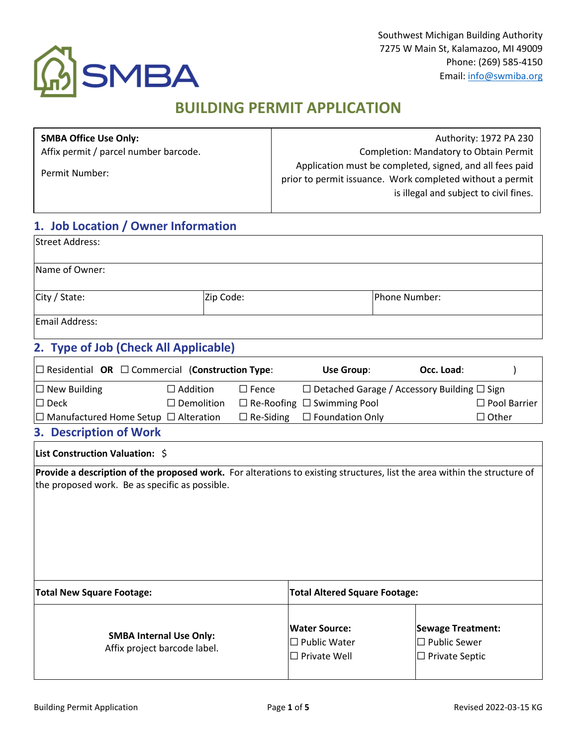

# **BUILDING PERMIT APPLICATION**

| <b>SMBA Office Use Only:</b><br>Affix permit / parcel number barcode.<br>Permit Number: |           | Authority: 1972 PA 230<br>Completion: Mandatory to Obtain Permit<br>Application must be completed, signed, and all fees paid<br>prior to permit issuance. Work completed without a permit<br>is illegal and subject to civil fines. |  |  |  |  |  |  |  |
|-----------------------------------------------------------------------------------------|-----------|-------------------------------------------------------------------------------------------------------------------------------------------------------------------------------------------------------------------------------------|--|--|--|--|--|--|--|
| 1. Job Location / Owner Information<br><b>Street Address:</b>                           |           |                                                                                                                                                                                                                                     |  |  |  |  |  |  |  |
| Name of Owner:                                                                          |           |                                                                                                                                                                                                                                     |  |  |  |  |  |  |  |
| City / State:                                                                           | Zip Code: | Phone Number:                                                                                                                                                                                                                       |  |  |  |  |  |  |  |
| Email Address:                                                                          |           |                                                                                                                                                                                                                                     |  |  |  |  |  |  |  |
| 2. Type of Job (Check All Applicable)                                                   |           |                                                                                                                                                                                                                                     |  |  |  |  |  |  |  |

| $\Box$ Residential OR $\Box$ Commercial (Construction Type: |                      |              | Use Group:                                              | Occ. Load: |                     |
|-------------------------------------------------------------|----------------------|--------------|---------------------------------------------------------|------------|---------------------|
| $\Box$ New Building                                         | $\Box$ Addition      | $\Box$ Fence | $\Box$ Detached Garage / Accessory Building $\Box$ Sign |            |                     |
| $\Box$ Deck                                                 | $\square$ Demolition |              | $\Box$ Re-Roofing $\Box$ Swimming Pool                  |            | $\Box$ Pool Barrier |
| $\Box$ Manufactured Home Setup $\Box$ Alteration            |                      |              | $\Box$ Re-Siding $\Box$ Foundation Only                 |            | $\Box$ Other        |
| <b>3. Description of Work</b>                               |                      |              |                                                         |            |                     |

#### **List Construction Valuation:** \$

**Provide a description of the proposed work.** For alterations to existing structures, list the area within the structure of the proposed work. Be as specific as possible.

| <b>Total New Square Footage:</b>                               | <b>Total Altered Square Footage:</b>                               |                                                                          |  |  |  |  |  |  |
|----------------------------------------------------------------|--------------------------------------------------------------------|--------------------------------------------------------------------------|--|--|--|--|--|--|
| <b>SMBA Internal Use Only:</b><br>Affix project barcode label. | <b>Water Source:</b><br>$\Box$ Public Water<br>$\Box$ Private Well | <b>Sewage Treatment:</b><br>$\Box$ Public Sewer<br>$\Box$ Private Septic |  |  |  |  |  |  |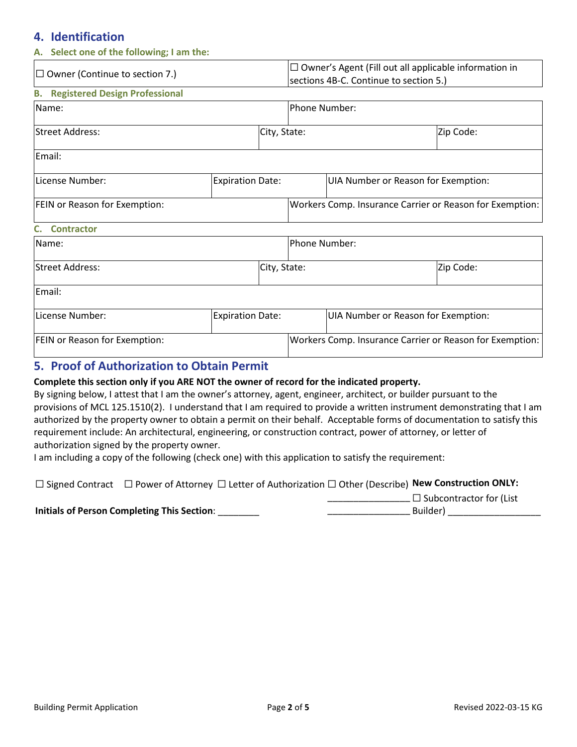### **4. Identification**

| A. Select one of the following; I am the:        |                         |               |                                                                                                        |                                     |                                                          |  |  |  |  |  |  |  |  |
|--------------------------------------------------|-------------------------|---------------|--------------------------------------------------------------------------------------------------------|-------------------------------------|----------------------------------------------------------|--|--|--|--|--|--|--|--|
| $\Box$ Owner (Continue to section 7.)            |                         |               | $\Box$ Owner's Agent (Fill out all applicable information in<br>sections 4B-C. Continue to section 5.) |                                     |                                                          |  |  |  |  |  |  |  |  |
| <b>Registered Design Professional</b><br>В.      |                         |               |                                                                                                        |                                     |                                                          |  |  |  |  |  |  |  |  |
| Name:                                            |                         | Phone Number: |                                                                                                        |                                     |                                                          |  |  |  |  |  |  |  |  |
| lStreet Address:                                 |                         | City, State:  |                                                                                                        |                                     | Zip Code:                                                |  |  |  |  |  |  |  |  |
| Email:                                           |                         |               |                                                                                                        |                                     |                                                          |  |  |  |  |  |  |  |  |
| License Number:                                  | <b>Expiration Date:</b> |               |                                                                                                        | UIA Number or Reason for Exemption: |                                                          |  |  |  |  |  |  |  |  |
| FEIN or Reason for Exemption:                    |                         |               | Workers Comp. Insurance Carrier or Reason for Exemption:                                               |                                     |                                                          |  |  |  |  |  |  |  |  |
| <b>Contractor</b>                                |                         |               |                                                                                                        |                                     |                                                          |  |  |  |  |  |  |  |  |
| Name:                                            |                         |               | Phone Number:                                                                                          |                                     |                                                          |  |  |  |  |  |  |  |  |
| <b>Street Address:</b>                           |                         | City, State:  |                                                                                                        |                                     | Zip Code:                                                |  |  |  |  |  |  |  |  |
| Email:                                           |                         |               |                                                                                                        |                                     |                                                          |  |  |  |  |  |  |  |  |
| License Number:                                  | <b>Expiration Date:</b> |               |                                                                                                        | UIA Number or Reason for Exemption: |                                                          |  |  |  |  |  |  |  |  |
| FEIN or Reason for Exemption:                    |                         |               |                                                                                                        |                                     | Workers Comp. Insurance Carrier or Reason for Exemption: |  |  |  |  |  |  |  |  |
| $\Gamma$ Droof of Authorization to Ohtoin Dormit |                         |               |                                                                                                        |                                     |                                                          |  |  |  |  |  |  |  |  |

# **5. Proof of Authorization to Obtain Permit**

#### **Complete this section only if you ARE NOT the owner of record for the indicated property.**

By signing below, I attest that I am the owner's attorney, agent, engineer, architect, or builder pursuant to the provisions of MCL 125.1510(2). I understand that I am required to provide a written instrument demonstrating that I am authorized by the property owner to obtain a permit on their behalf. Acceptable forms of documentation to satisfy this requirement include: An architectural, engineering, or construction contract, power of attorney, or letter of authorization signed by the property owner.

I am including a copy of the following (check one) with this application to satisfy the requirement:

☐ Signed Contract ☐ Power of Attorney ☐ Letter of Authorization ☐ Other (Describe) **New Construction ONLY:** 

**Initials of Person Completing This Section**: \_\_\_\_\_\_\_\_

\_\_\_\_\_\_\_\_\_\_\_\_\_\_\_\_ ☐ Subcontractor for (List \_\_\_\_\_\_\_\_\_\_\_\_\_\_\_\_ Builder) \_\_\_\_\_\_\_\_\_\_\_\_\_\_\_\_\_\_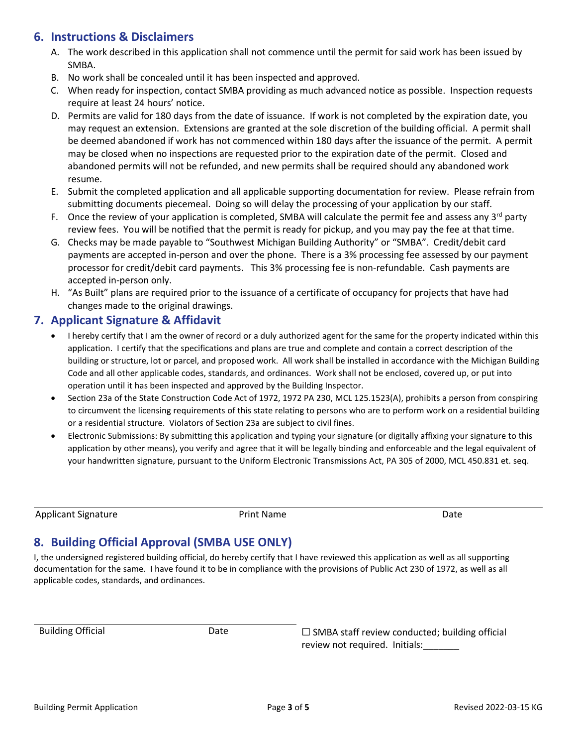### **6. Instructions & Disclaimers**

- A. The work described in this application shall not commence until the permit for said work has been issued by SMBA.
- B. No work shall be concealed until it has been inspected and approved.
- C. When ready for inspection, contact SMBA providing as much advanced notice as possible. Inspection requests require at least 24 hours' notice.
- D. Permits are valid for 180 days from the date of issuance. If work is not completed by the expiration date, you may request an extension. Extensions are granted at the sole discretion of the building official. A permit shall be deemed abandoned if work has not commenced within 180 days after the issuance of the permit. A permit may be closed when no inspections are requested prior to the expiration date of the permit. Closed and abandoned permits will not be refunded, and new permits shall be required should any abandoned work resume.
- E. Submit the completed application and all applicable supporting documentation for review. Please refrain from submitting documents piecemeal. Doing so will delay the processing of your application by our staff.
- F. Once the review of your application is completed, SMBA will calculate the permit fee and assess any  $3^{rd}$  party review fees. You will be notified that the permit is ready for pickup, and you may pay the fee at that time.
- G. Checks may be made payable to "Southwest Michigan Building Authority" or "SMBA". Credit/debit card payments are accepted in-person and over the phone. There is a 3% processing fee assessed by our payment processor for credit/debit card payments. This 3% processing fee is non-refundable. Cash payments are accepted in-person only.
- H. "As Built" plans are required prior to the issuance of a certificate of occupancy for projects that have had changes made to the original drawings.

### **7. Applicant Signature & Affidavit**

- I hereby certify that I am the owner of record or a duly authorized agent for the same for the property indicated within this application. I certify that the specifications and plans are true and complete and contain a correct description of the building or structure, lot or parcel, and proposed work. All work shall be installed in accordance with the Michigan Building Code and all other applicable codes, standards, and ordinances. Work shall not be enclosed, covered up, or put into operation until it has been inspected and approved by the Building Inspector.
- Section 23a of the State Construction Code Act of 1972, 1972 PA 230, MCL 125.1523(A), prohibits a person from conspiring to circumvent the licensing requirements of this state relating to persons who are to perform work on a residential building or a residential structure. Violators of Section 23a are subject to civil fines.
- Electronic Submissions: By submitting this application and typing your signature (or digitally affixing your signature to this application by other means), you verify and agree that it will be legally binding and enforceable and the legal equivalent of your handwritten signature, pursuant to the Uniform Electronic Transmissions Act, PA 305 of 2000, MCL 450.831 et. seq.

Applicant Signature **Print Name** Print Name **Date** Date

# **8. Building Official Approval (SMBA USE ONLY)**

I, the undersigned registered building official, do hereby certify that I have reviewed this application as well as all supporting documentation for the same. I have found it to be in compliance with the provisions of Public Act 230 of 1972, as well as all applicable codes, standards, and ordinances.

Building Official Date ☐ SMBA staff review conducted; building official review not required. Initials: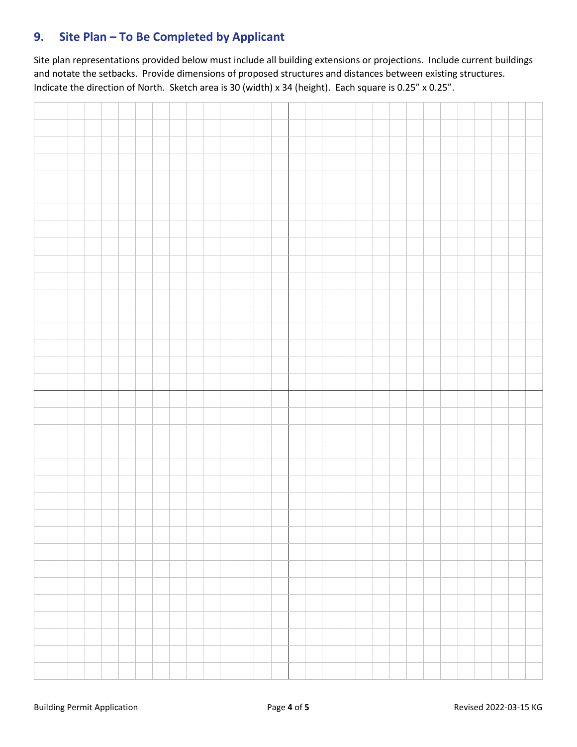# **9. Site Plan – To Be Completed by Applicant**

Site plan representations provided below must include all building extensions or projections. Include current buildings and notate the setbacks. Provide dimensions of proposed structures and distances between existing structures. Indicate the direction of North. Sketch area is 30 (width) x 34 (height). Each square is 0.25" x 0.25".

|  | - 1 |  |  | <u> 2001 - Jacques Jacques I, alemanist est</u> |  |  |  | a sa T |  | <u> 2004 - Jacques Jacques I, and a strong and a strong strong and a strong strong strong and a strong strong str</u> |  |  |  | and the contract |  |  |
|--|-----|--|--|-------------------------------------------------|--|--|--|--------|--|-----------------------------------------------------------------------------------------------------------------------|--|--|--|------------------|--|--|
|  |     |  |  |                                                 |  |  |  |        |  |                                                                                                                       |  |  |  |                  |  |  |
|  |     |  |  |                                                 |  |  |  |        |  |                                                                                                                       |  |  |  |                  |  |  |
|  |     |  |  |                                                 |  |  |  |        |  |                                                                                                                       |  |  |  |                  |  |  |
|  |     |  |  |                                                 |  |  |  |        |  |                                                                                                                       |  |  |  |                  |  |  |
|  |     |  |  |                                                 |  |  |  |        |  |                                                                                                                       |  |  |  |                  |  |  |
|  |     |  |  |                                                 |  |  |  |        |  |                                                                                                                       |  |  |  |                  |  |  |
|  |     |  |  |                                                 |  |  |  |        |  |                                                                                                                       |  |  |  |                  |  |  |
|  |     |  |  |                                                 |  |  |  |        |  |                                                                                                                       |  |  |  |                  |  |  |
|  |     |  |  |                                                 |  |  |  |        |  |                                                                                                                       |  |  |  |                  |  |  |